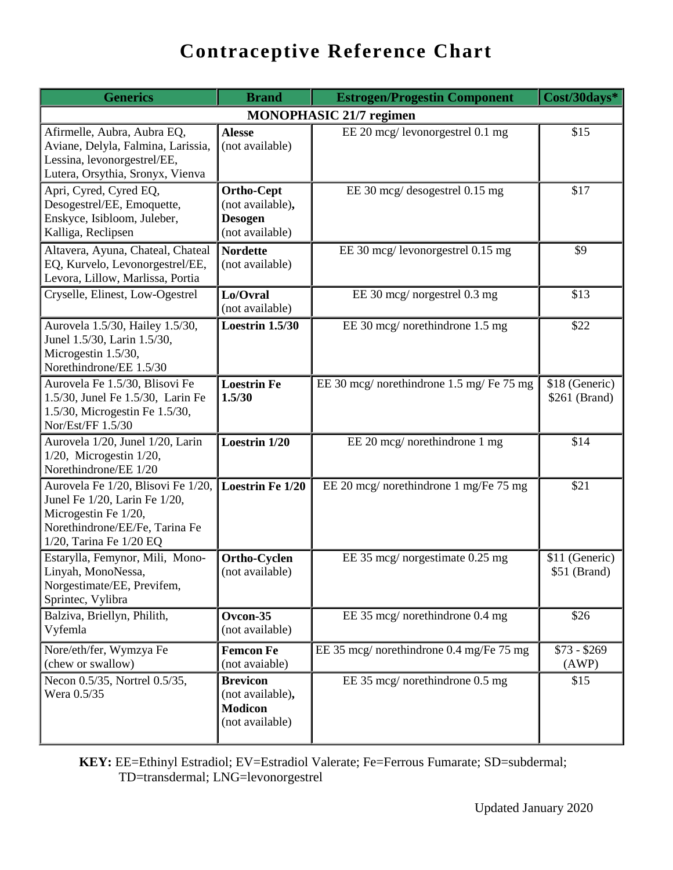| <b>Generics</b>                                                                                                                                          | <b>Brand</b>                                                               | Cost/30days*                              |                                 |  |  |  |
|----------------------------------------------------------------------------------------------------------------------------------------------------------|----------------------------------------------------------------------------|-------------------------------------------|---------------------------------|--|--|--|
| <b>MONOPHASIC 21/7 regimen</b>                                                                                                                           |                                                                            |                                           |                                 |  |  |  |
| Afirmelle, Aubra, Aubra EQ,<br>Aviane, Delyla, Falmina, Larissia,<br>Lessina, levonorgestrel/EE,<br>Lutera, Orsythia, Sronyx, Vienva                     | <b>Alesse</b><br>(not available)                                           | EE 20 mcg/ levonorgestrel 0.1 mg          | \$15                            |  |  |  |
| Apri, Cyred, Cyred EQ,<br>Desogestrel/EE, Emoquette,<br>Enskyce, Isibloom, Juleber,<br>Kalliga, Reclipsen                                                | <b>Ortho-Cept</b><br>(not available),<br><b>Desogen</b><br>(not available) | EE 30 mcg/ desogestrel 0.15 mg            | \$17                            |  |  |  |
| Altavera, Ayuna, Chateal, Chateal<br>EQ, Kurvelo, Levonorgestrel/EE,<br>Levora, Lillow, Marlissa, Portia                                                 | <b>Nordette</b><br>(not available)                                         | EE 30 mcg/ levonorgestrel 0.15 mg         | \$9                             |  |  |  |
| Cryselle, Elinest, Low-Ogestrel                                                                                                                          | Lo/Ovral<br>(not available)                                                | EE 30 mcg/ norgestrel 0.3 mg              | \$13                            |  |  |  |
| Aurovela 1.5/30, Hailey 1.5/30,<br>Junel 1.5/30, Larin 1.5/30,<br>Microgestin 1.5/30,<br>Norethindrone/EE 1.5/30                                         | <b>Loestrin 1.5/30</b>                                                     | EE 30 mcg/ norethindrone 1.5 mg           | \$22                            |  |  |  |
| Aurovela Fe 1.5/30, Blisovi Fe<br>1.5/30, Junel Fe 1.5/30, Larin Fe<br>1.5/30, Microgestin Fe 1.5/30,<br>Nor/Est/FF 1.5/30                               | <b>Loestrin Fe</b><br>1.5/30                                               | EE 30 mcg/ norethindrone 1.5 mg/ Fe 75 mg | \$18 (Generic)<br>\$261 (Brand) |  |  |  |
| Aurovela 1/20, Junel 1/20, Larin<br>$1/20$ , Microgestin $1/20$ ,<br>Norethindrone/EE 1/20                                                               | Loestrin 1/20                                                              | EE 20 mcg/ norethindrone 1 mg             | \$14                            |  |  |  |
| Aurovela Fe 1/20, Blisovi Fe 1/20,<br>Junel Fe 1/20, Larin Fe 1/20,<br>Microgestin Fe 1/20,<br>Norethindrone/EE/Fe, Tarina Fe<br>1/20, Tarina Fe 1/20 EQ | <b>Loestrin Fe 1/20</b>                                                    | EE 20 mcg/ norethindrone 1 mg/Fe 75 mg    | \$21                            |  |  |  |
| Estarylla, Femynor, Mili, Mono-<br>Linyah, MonoNessa,<br>Norgestimate/EE, Previfem,<br>Sprintec, Vylibra                                                 | Ortho-Cyclen<br>(not available)                                            | EE 35 mcg/ norgestimate 0.25 mg           | \$11 (Generic)<br>\$51 (Brand)  |  |  |  |
| Balziva, Briellyn, Philith,<br>Vyfemla                                                                                                                   | Ovcon-35<br>(not available)                                                | EE 35 mcg/ norethindrone 0.4 mg           | \$26                            |  |  |  |
| Nore/eth/fer, Wymzya Fe<br>(chew or swallow)                                                                                                             | <b>Femcon Fe</b><br>(not avaiable)                                         | EE 35 mcg/ norethindrone 0.4 mg/Fe 75 mg  | $$73 - $269$<br>(AWP)           |  |  |  |
| Necon 0.5/35, Nortrel 0.5/35,<br>Wera 0.5/35                                                                                                             | <b>Brevicon</b><br>(not available),<br><b>Modicon</b><br>(not available)   | EE 35 mcg/ norethindrone 0.5 mg           | \$15                            |  |  |  |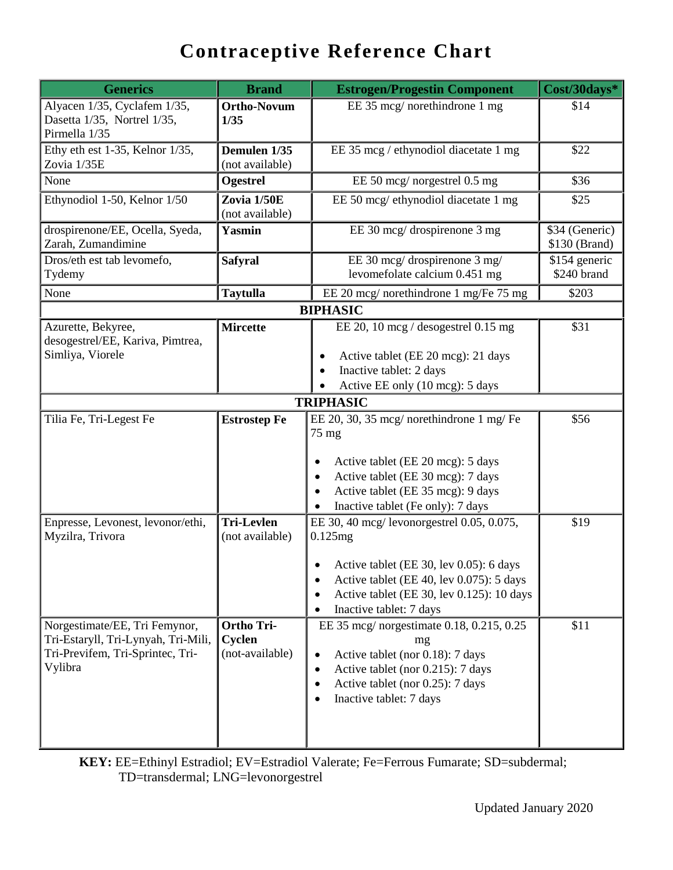| <b>Generics</b>                                                                                                     | <b>Brand</b>                                   | <b>Estrogen/Progestin Component</b>                                                                                                                                                                                                    | Cost/30days*                    |
|---------------------------------------------------------------------------------------------------------------------|------------------------------------------------|----------------------------------------------------------------------------------------------------------------------------------------------------------------------------------------------------------------------------------------|---------------------------------|
| Alyacen 1/35, Cyclafem 1/35,<br>Dasetta 1/35, Nortrel 1/35,<br>Pirmella 1/35                                        | <b>Ortho-Novum</b><br>1/35                     | EE 35 mcg/ norethindrone 1 mg                                                                                                                                                                                                          | \$14                            |
| Ethy eth est 1-35, Kelnor 1/35,<br>Zovia 1/35E                                                                      | Demulen 1/35<br>(not available)                | EE 35 mcg / ethynodiol diacetate 1 mg                                                                                                                                                                                                  | \$22                            |
| None                                                                                                                | Ogestrel                                       | EE 50 mcg/ norgestrel 0.5 mg                                                                                                                                                                                                           | \$36                            |
| Ethynodiol 1-50, Kelnor 1/50                                                                                        | Zovia 1/50E<br>(not available)                 | EE 50 mcg/ ethynodiol diacetate 1 mg                                                                                                                                                                                                   | \$25                            |
| drospirenone/EE, Ocella, Syeda,<br>Zarah, Zumandimine                                                               | Yasmin                                         | EE 30 mcg/ drospirenone 3 mg                                                                                                                                                                                                           | \$34 (Generic)<br>\$130 (Brand) |
| Dros/eth est tab levomefo,<br>Tydemy                                                                                | <b>Safyral</b>                                 | EE 30 mcg/ drospirenone 3 mg/<br>levomefolate calcium 0.451 mg                                                                                                                                                                         | \$154 generic<br>\$240 brand    |
| None                                                                                                                | <b>Taytulla</b>                                | EE 20 mcg/ norethindrone 1 mg/Fe 75 mg                                                                                                                                                                                                 | \$203                           |
|                                                                                                                     |                                                | <b>BIPHASIC</b>                                                                                                                                                                                                                        |                                 |
| Azurette, Bekyree,<br>desogestrel/EE, Kariva, Pimtrea,<br>Simliya, Viorele                                          | Mircette                                       | EE 20, 10 mcg / desogestrel $0.15$ mg<br>Active tablet (EE 20 mcg): 21 days<br>Inactive tablet: 2 days<br>$\bullet$<br>Active EE only (10 mcg): 5 days                                                                                 | \$31                            |
|                                                                                                                     |                                                | <b>TRIPHASIC</b>                                                                                                                                                                                                                       |                                 |
| Tilia Fe, Tri-Legest Fe                                                                                             | <b>Estrostep Fe</b>                            | EE 20, 30, 35 mcg/ norethindrone 1 mg/ Fe<br>$75$ mg<br>Active tablet (EE 20 mcg): 5 days<br>$\bullet$<br>Active tablet (EE 30 mcg): 7 days<br>$\bullet$<br>Active tablet (EE 35 mcg): 9 days<br>Inactive tablet (Fe only): 7 days     | \$56                            |
| Enpresse, Levonest, levonor/ethi,<br>Myzilra, Trivora                                                               | <b>Tri-Levlen</b><br>(not available)           | EE 30, 40 mcg/ levonorgestrel 0.05, 0.075,<br>0.125mg<br>Active tablet (EE 30, lev 0.05): 6 days<br>Active tablet (EE 40, lev 0.075): 5 days<br>c<br>Active tablet (EE 30, lev 0.125): 10 days<br>$\bullet$<br>Inactive tablet: 7 days | \$19                            |
| Norgestimate/EE, Tri Femynor,<br>Tri-Estaryll, Tri-Lynyah, Tri-Mili,<br>Tri-Previfem, Tri-Sprintec, Tri-<br>Vylibra | <b>Ortho Tri-</b><br>Cyclen<br>(not-available) | EE 35 mcg/ norgestimate 0.18, 0.215, 0.25<br>mg<br>Active tablet (nor 0.18): 7 days<br>$\bullet$<br>Active tablet (nor 0.215): 7 days<br>$\bullet$<br>Active tablet (nor 0.25): 7 days<br>Inactive tablet: 7 days                      | \$11                            |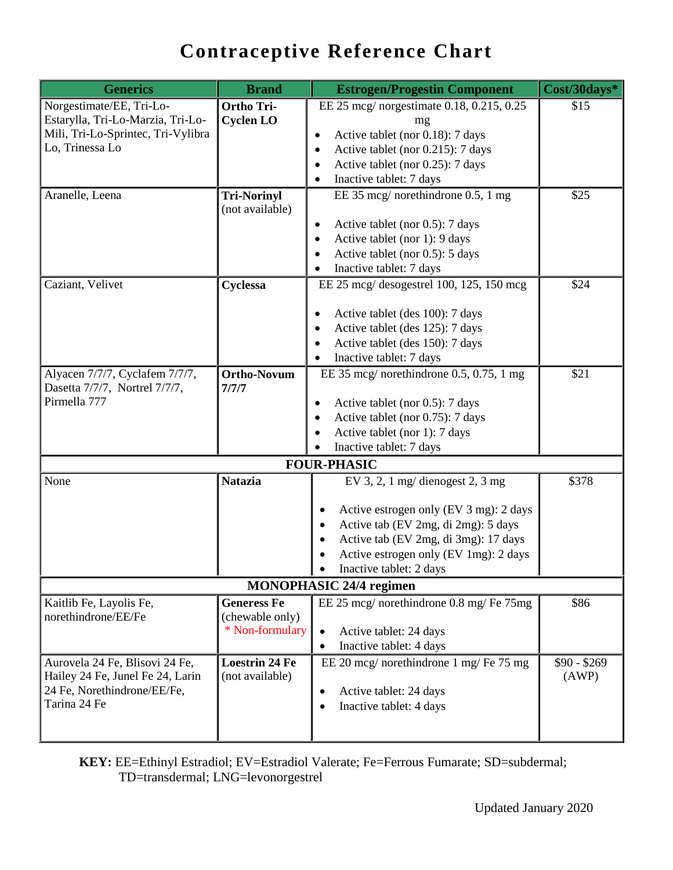| <b>Generics</b>                                                    | <b>Brand</b>                             | <b>Estrogen/Progestin Component</b>              | Cost/30days*          |
|--------------------------------------------------------------------|------------------------------------------|--------------------------------------------------|-----------------------|
| Norgestimate/EE, Tri-Lo-                                           | <b>Ortho Tri-</b>                        | EE 25 mcg/ norgestimate 0.18, 0.215, 0.25        | \$15                  |
| Estarylla, Tri-Lo-Marzia, Tri-Lo-                                  | <b>Cyclen LO</b>                         | mg                                               |                       |
| Mili, Tri-Lo-Sprintec, Tri-Vylibra                                 |                                          | Active tablet (nor 0.18): 7 days                 |                       |
| Lo, Trinessa Lo                                                    |                                          | Active tablet (nor 0.215): 7 days<br>٠           |                       |
|                                                                    |                                          | Active tablet (nor 0.25): 7 days                 |                       |
|                                                                    |                                          | Inactive tablet: 7 days                          |                       |
| Aranelle, Leena                                                    | <b>Tri-Norinyl</b><br>(not available)    | EE 35 mcg/ norethindrone 0.5, 1 mg               | \$25                  |
|                                                                    |                                          | Active tablet (nor 0.5): 7 days<br>$\bullet$     |                       |
|                                                                    |                                          | Active tablet (nor 1): 9 days<br>$\bullet$       |                       |
|                                                                    |                                          | Active tablet (nor 0.5): 5 days                  |                       |
|                                                                    |                                          | Inactive tablet: 7 days                          |                       |
| Caziant, Velivet                                                   | Cyclessa                                 | EE 25 mcg/ desogestrel 100, 125, 150 mcg         | \$24                  |
|                                                                    |                                          | Active tablet (des 100): 7 days                  |                       |
|                                                                    |                                          | Active tablet (des 125): 7 days<br>٠             |                       |
|                                                                    |                                          | Active tablet (des 150): 7 days                  |                       |
|                                                                    |                                          | Inactive tablet: 7 days                          |                       |
| Alyacen 7/7/7, Cyclafem 7/7/7,<br>Dasetta 7/7/7, Nortrel 7/7/7,    | <b>Ortho-Novum</b><br>7/7/7              | EE 35 mcg/ norethindrone $0.5$ , $0.75$ , 1 mg   | \$21                  |
| Pirmella 777                                                       |                                          | Active tablet (nor 0.5): 7 days                  |                       |
|                                                                    |                                          | Active tablet (nor 0.75): 7 days                 |                       |
|                                                                    |                                          | Active tablet (nor 1): 7 days                    |                       |
|                                                                    |                                          | Inactive tablet: 7 days                          |                       |
|                                                                    |                                          | <b>FOUR-PHASIC</b>                               |                       |
| None                                                               | <b>Natazia</b>                           | EV 3, 2, 1 mg/ dienogest 2, 3 mg                 | \$378                 |
|                                                                    |                                          | Active estrogen only (EV 3 mg): 2 days           |                       |
|                                                                    |                                          | Active tab (EV 2mg, di 2mg): 5 days<br>$\bullet$ |                       |
|                                                                    |                                          | Active tab (EV 2mg, di 3mg): 17 days             |                       |
|                                                                    |                                          | Active estrogen only (EV 1mg): 2 days            |                       |
|                                                                    |                                          | Inactive tablet: 2 days                          |                       |
|                                                                    |                                          | <b>MONOPHASIC 24/4 regimen</b>                   |                       |
| Kaitlib Fe, Layolis Fe,<br>norethindrone/EE/Fe                     | <b>Generess Fe</b>                       | EE 25 mcg/ norethindrone 0.8 mg/ Fe 75mg         | \$86                  |
|                                                                    | (chewable only)<br>* Non-formulary       |                                                  |                       |
|                                                                    |                                          | Active tablet: 24 days<br>$\bullet$              |                       |
|                                                                    |                                          | Inactive tablet: 4 days<br>$\bullet$             |                       |
| Aurovela 24 Fe, Blisovi 24 Fe,<br>Hailey 24 Fe, Junel Fe 24, Larin | <b>Loestrin 24 Fe</b><br>(not available) | EE 20 mcg/ norethindrone 1 mg/ Fe 75 mg          | $$90 - $269$<br>(AWP) |
| 24 Fe, Norethindrone/EE/Fe,                                        |                                          | Active tablet: 24 days                           |                       |
| Tarina 24 Fe                                                       |                                          | Inactive tablet: 4 days                          |                       |
|                                                                    |                                          |                                                  |                       |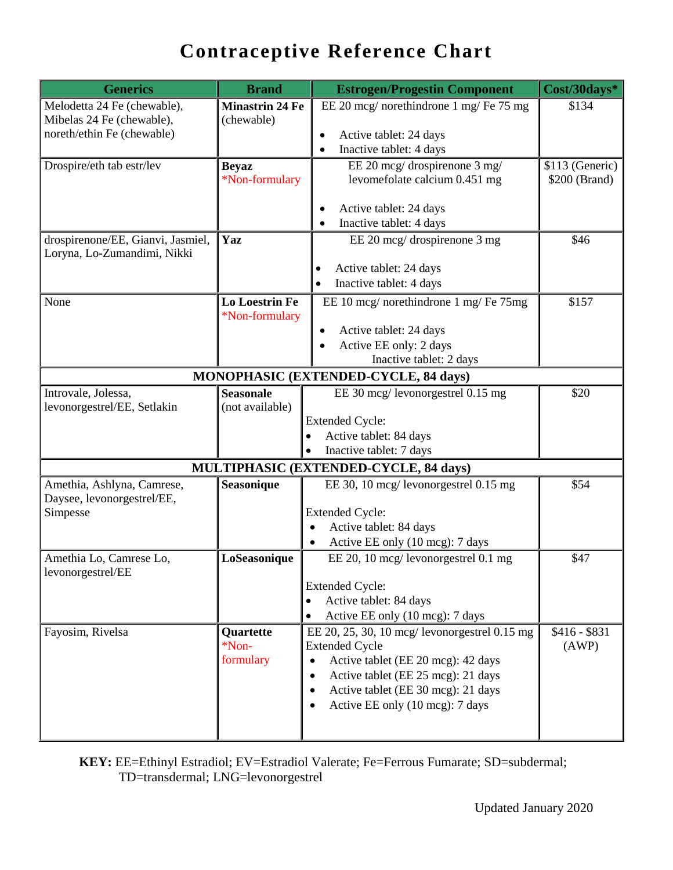| <b>Generics</b>                        | <b>Brand</b>           | <b>Estrogen/Progestin Component</b>             | Cost/30days*    |  |
|----------------------------------------|------------------------|-------------------------------------------------|-----------------|--|
| Melodetta 24 Fe (chewable),            | <b>Minastrin 24 Fe</b> | EE 20 mcg/ norethindrone 1 mg/ Fe 75 mg         | \$134           |  |
| Mibelas 24 Fe (chewable),              | (chewable)             |                                                 |                 |  |
| noreth/ethin Fe (chewable)             |                        | Active tablet: 24 days<br>$\bullet$             |                 |  |
|                                        |                        | Inactive tablet: 4 days<br>$\bullet$            |                 |  |
| Drospire/eth tab estr/lev              | <b>Beyaz</b>           | EE 20 mcg/ drospirenone 3 mg/                   | \$113 (Generic) |  |
|                                        | *Non-formulary         | levomefolate calcium 0.451 mg                   | \$200 (Brand)   |  |
|                                        |                        | Active tablet: 24 days                          |                 |  |
|                                        |                        | Inactive tablet: 4 days                         |                 |  |
| drospirenone/EE, Gianvi, Jasmiel,      | Yaz                    | EE 20 mcg/ drospirenone 3 mg                    | \$46            |  |
| Loryna, Lo-Zumandimi, Nikki            |                        |                                                 |                 |  |
|                                        |                        | Active tablet: 24 days                          |                 |  |
|                                        |                        | Inactive tablet: 4 days                         |                 |  |
| None                                   | <b>Lo Loestrin Fe</b>  | EE 10 mcg/ norethindrone 1 mg/ Fe 75mg          | \$157           |  |
|                                        | *Non-formulary         |                                                 |                 |  |
|                                        |                        | Active tablet: 24 days<br>٠                     |                 |  |
|                                        |                        | Active EE only: 2 days<br>$\bullet$             |                 |  |
|                                        |                        | Inactive tablet: 2 days                         |                 |  |
|                                        |                        | MONOPHASIC (EXTENDED-CYCLE, 84 days)            |                 |  |
| Introvale, Jolessa,                    | <b>Seasonale</b>       | EE 30 mcg/ levonorgestrel 0.15 mg               | \$20            |  |
| levonorgestrel/EE, Setlakin            | (not available)        |                                                 |                 |  |
|                                        |                        | <b>Extended Cycle:</b>                          |                 |  |
|                                        |                        | Active tablet: 84 days<br>$\bullet$             |                 |  |
|                                        |                        | Inactive tablet: 7 days<br>$\bullet$            |                 |  |
| MULTIPHASIC (EXTENDED-CYCLE, 84 days)  |                        |                                                 |                 |  |
| Amethia, Ashlyna, Camrese,             | Seasonique             | EE 30, 10 mcg/ levonorgestrel 0.15 mg           | \$54            |  |
| Daysee, levonorgestrel/EE,<br>Simpesse |                        | <b>Extended Cycle:</b>                          |                 |  |
|                                        |                        | Active tablet: 84 days                          |                 |  |
|                                        |                        | Active EE only (10 mcg): 7 days<br>$\bullet$    |                 |  |
| Amethia Lo, Camrese Lo,                | LoSeasonique           | EE 20, 10 mcg/ levonorgestrel 0.1 mg            | \$47            |  |
| levonorgestrel/EE                      |                        |                                                 |                 |  |
|                                        |                        | <b>Extended Cycle:</b>                          |                 |  |
|                                        |                        | Active tablet: 84 days<br>$\bullet$             |                 |  |
|                                        |                        | Active EE only (10 mcg): 7 days<br>$\bullet$    |                 |  |
| Fayosim, Rivelsa                       | Quartette              | EE 20, 25, 30, 10 mcg/ levonorgestrel 0.15 mg   | $$416 - $831$   |  |
|                                        | *Non-                  | <b>Extended Cycle</b>                           | (AWP)           |  |
|                                        | formulary              | Active tablet (EE 20 mcg): 42 days              |                 |  |
|                                        |                        | Active tablet (EE 25 mcg): 21 days<br>$\bullet$ |                 |  |
|                                        |                        | Active tablet (EE 30 mcg): 21 days              |                 |  |
|                                        |                        | Active EE only (10 mcg): 7 days                 |                 |  |
|                                        |                        |                                                 |                 |  |
|                                        |                        |                                                 |                 |  |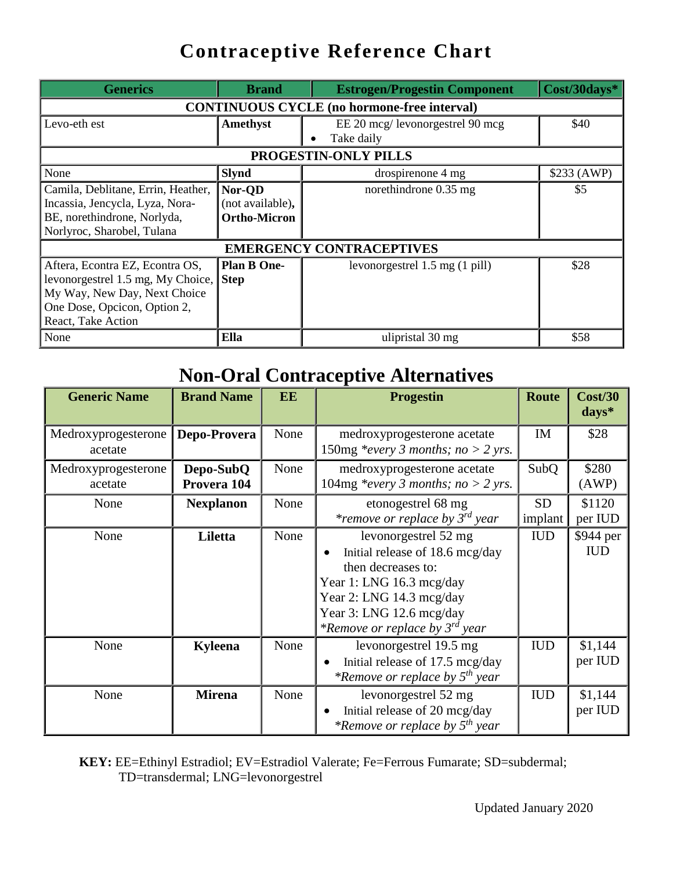| <b>Generics</b>                                    | <b>Brand</b>        | <b>Estrogen/Progestin Component</b> | Cost/30days* |  |  |
|----------------------------------------------------|---------------------|-------------------------------------|--------------|--|--|
| <b>CONTINUOUS CYCLE</b> (no hormone-free interval) |                     |                                     |              |  |  |
| Levo-eth est                                       | Amethyst            | EE 20 mcg/ levonorgestrel 90 mcg    | \$40         |  |  |
|                                                    |                     | Take daily                          |              |  |  |
|                                                    |                     | PROGESTIN-ONLY PILLS                |              |  |  |
| None                                               | <b>Slynd</b>        | drospirenone 4 mg                   | \$233 (AWP)  |  |  |
| Camila, Deblitane, Errin, Heather,                 | Nor-QD              | norethindrone 0.35 mg               | \$5          |  |  |
| Incassia, Jencycla, Lyza, Nora-                    | (not available),    |                                     |              |  |  |
| BE, norethindrone, Norlyda,                        | <b>Ortho-Micron</b> |                                     |              |  |  |
| Norlyroc, Sharobel, Tulana                         |                     |                                     |              |  |  |
| <b>EMERGENCY CONTRACEPTIVES</b>                    |                     |                                     |              |  |  |
| Aftera, Econtra EZ, Econtra OS,                    | <b>Plan B One-</b>  | levonorgestrel 1.5 mg (1 pill)      | \$28         |  |  |
| levonorgestrel 1.5 mg, My Choice, Step             |                     |                                     |              |  |  |
| My Way, New Day, Next Choice                       |                     |                                     |              |  |  |
| One Dose, Opcicon, Option 2,                       |                     |                                     |              |  |  |
| React, Take Action                                 |                     |                                     |              |  |  |
| None                                               | Ella                | ulipristal 30 mg                    | \$58         |  |  |

#### **Non-Oral Contraceptive Alternatives**

| <b>Generic Name</b>            | <b>Brand Name</b>        | EE   | <b>Progestin</b>                                                                                                                                                                                                                   | <b>Route</b>         | Cost/30<br>$\bf days^*$ |
|--------------------------------|--------------------------|------|------------------------------------------------------------------------------------------------------------------------------------------------------------------------------------------------------------------------------------|----------------------|-------------------------|
| Medroxyprogesterone<br>acetate | Depo-Provera             | None | medroxyprogesterone acetate<br>150mg *every 3 months; no > 2 yrs.                                                                                                                                                                  | IM                   | \$28                    |
| Medroxyprogesterone<br>acetate | Depo-SubQ<br>Provera 104 | None | medroxyprogesterone acetate<br>104mg *every 3 months; no > 2 yrs.                                                                                                                                                                  | SubQ                 | \$280<br>(AWP)          |
| None                           | <b>Nexplanon</b>         | None | etonogestrel 68 mg<br><i>*remove or replace by 3<sup>rd</sup> year</i>                                                                                                                                                             | <b>SD</b><br>implant | \$1120<br>per IUD       |
| None                           | Liletta                  | None | levonorgestrel 52 mg<br>Initial release of 18.6 mcg/day<br>$\bullet$<br>then decreases to:<br>Year 1: LNG 16.3 mcg/day<br>Year 2: LNG 14.3 mcg/day<br>Year 3: LNG 12.6 mcg/day<br><i>*Remove or replace by 3<sup>rd</sup> year</i> | <b>IUD</b>           | \$944 per<br><b>IUD</b> |
| None                           | Kyleena                  | None | levonorgestrel 19.5 mg<br>Initial release of 17.5 mcg/day<br><i>*Remove or replace by 5<sup>th</sup> year</i>                                                                                                                      | <b>IUD</b>           | \$1,144<br>per IUD      |
| None                           | <b>Mirena</b>            | None | levonorgestrel 52 mg<br>Initial release of 20 mcg/day<br>$\bullet$<br><i>*Remove or replace by 5<sup>th</sup> year</i>                                                                                                             | <b>IUD</b>           | \$1,144<br>per IUD      |